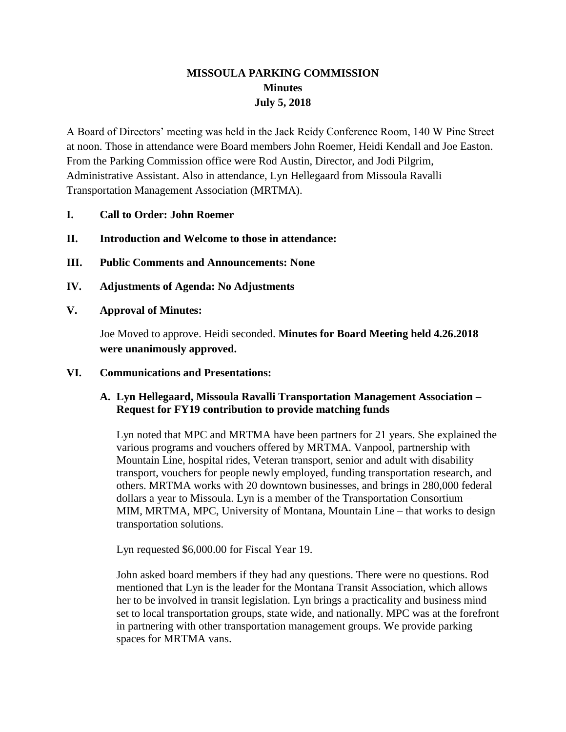# **MISSOULA PARKING COMMISSION Minutes July 5, 2018**

A Board of Directors' meeting was held in the Jack Reidy Conference Room, 140 W Pine Street at noon. Those in attendance were Board members John Roemer, Heidi Kendall and Joe Easton. From the Parking Commission office were Rod Austin, Director, and Jodi Pilgrim, Administrative Assistant. Also in attendance, Lyn Hellegaard from Missoula Ravalli Transportation Management Association (MRTMA).

- **I. Call to Order: John Roemer**
- **II. Introduction and Welcome to those in attendance:**
- **III. Public Comments and Announcements: None**
- **IV. Adjustments of Agenda: No Adjustments**
- **V. Approval of Minutes:**

Joe Moved to approve. Heidi seconded. **Minutes for Board Meeting held 4.26.2018 were unanimously approved.**

**VI. Communications and Presentations:**

## **A. Lyn Hellegaard, Missoula Ravalli Transportation Management Association – Request for FY19 contribution to provide matching funds**

Lyn noted that MPC and MRTMA have been partners for 21 years. She explained the various programs and vouchers offered by MRTMA. Vanpool, partnership with Mountain Line, hospital rides, Veteran transport, senior and adult with disability transport, vouchers for people newly employed, funding transportation research, and others. MRTMA works with 20 downtown businesses, and brings in 280,000 federal dollars a year to Missoula. Lyn is a member of the Transportation Consortium – MIM, MRTMA, MPC, University of Montana, Mountain Line – that works to design transportation solutions.

Lyn requested \$6,000.00 for Fiscal Year 19.

John asked board members if they had any questions. There were no questions. Rod mentioned that Lyn is the leader for the Montana Transit Association, which allows her to be involved in transit legislation. Lyn brings a practicality and business mind set to local transportation groups, state wide, and nationally. MPC was at the forefront in partnering with other transportation management groups. We provide parking spaces for MRTMA vans.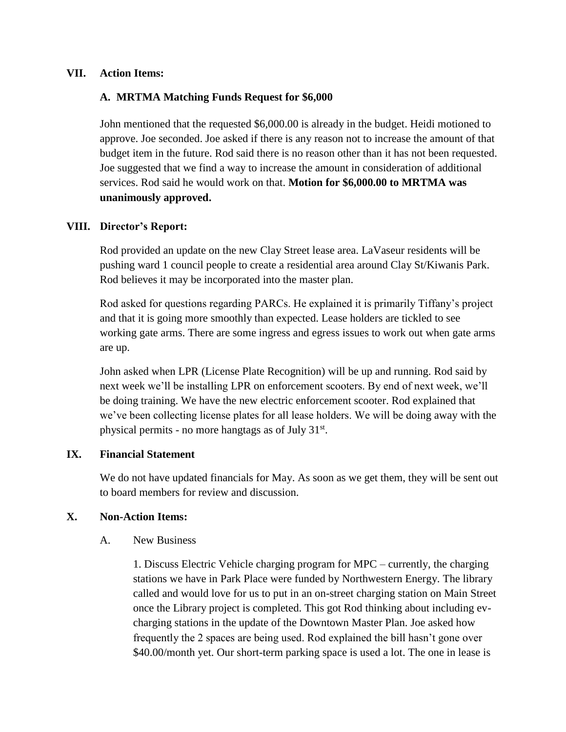#### **VII. Action Items:**

## **A. MRTMA Matching Funds Request for \$6,000**

John mentioned that the requested \$6,000.00 is already in the budget. Heidi motioned to approve. Joe seconded. Joe asked if there is any reason not to increase the amount of that budget item in the future. Rod said there is no reason other than it has not been requested. Joe suggested that we find a way to increase the amount in consideration of additional services. Rod said he would work on that. **Motion for \$6,000.00 to MRTMA was unanimously approved.** 

## **VIII. Director's Report:**

Rod provided an update on the new Clay Street lease area. LaVaseur residents will be pushing ward 1 council people to create a residential area around Clay St/Kiwanis Park. Rod believes it may be incorporated into the master plan.

Rod asked for questions regarding PARCs. He explained it is primarily Tiffany's project and that it is going more smoothly than expected. Lease holders are tickled to see working gate arms. There are some ingress and egress issues to work out when gate arms are up.

John asked when LPR (License Plate Recognition) will be up and running. Rod said by next week we'll be installing LPR on enforcement scooters. By end of next week, we'll be doing training. We have the new electric enforcement scooter. Rod explained that we've been collecting license plates for all lease holders. We will be doing away with the physical permits - no more hangtags as of July 31<sup>st</sup>.

# **IX. Financial Statement**

We do not have updated financials for May. As soon as we get them, they will be sent out to board members for review and discussion.

#### **X. Non-Action Items:**

#### A. New Business

1. Discuss Electric Vehicle charging program for MPC – currently, the charging stations we have in Park Place were funded by Northwestern Energy. The library called and would love for us to put in an on-street charging station on Main Street once the Library project is completed. This got Rod thinking about including evcharging stations in the update of the Downtown Master Plan. Joe asked how frequently the 2 spaces are being used. Rod explained the bill hasn't gone over \$40.00/month yet. Our short-term parking space is used a lot. The one in lease is